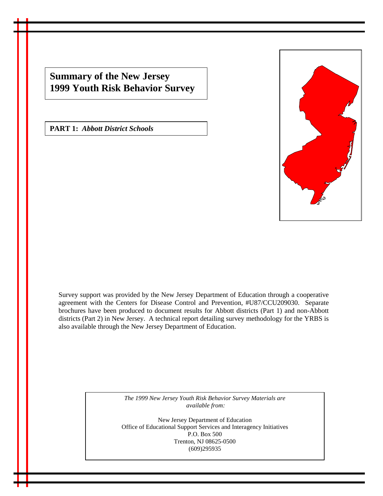**Summary of the New Jersey 1999 Youth Risk Behavior Survey**

**PART 1:** *Abbott District Schools*



Survey support was provided by the New Jersey Department of Education through a cooperative agreement with the Centers for Disease Control and Prevention, #U87/CCU209030. Separate brochures have been produced to document results for Abbott districts (Part 1) and non-Abbott districts (Part 2) in New Jersey. A technical report detailing survey methodology for the YRBS is also available through the New Jersey Department of Education.

> *The 1999 New Jersey Youth Risk Behavior Survey Materials are available from:*

New Jersey Department of Education Office of Educational Support Services and Interagency Initiatives P.O. Box 500 Trenton, NJ 08625-0500 (609)295935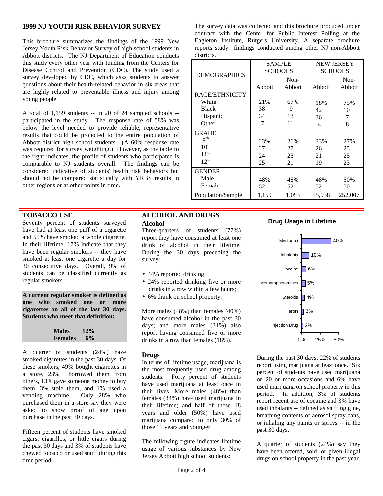# **1999 NJ YOUTH RISK BEHAVIOR SURVEY**

This brochure summarizes the findings of the 1999 New Jersey Youth Risk Behavior Survey of high school students in Abbott districts. The NJ Department of Education conducts this study every other year with funding from the Centers for Disease Control and Prevention (CDC). The study used a survey developed by CDC, which asks students to answer questions about their health-related behavior in six areas that are highly related to preventable illness and injury among young people.

A total of 1,159 students -- in 20 of 24 sampled schools - participated in the study. The response rate of 58% was below the level needed to provide reliable, representative results that could be projected to the entire population of Abbott district high school students. (A 60% response rate was required for survey weighting.) However, as the table to the right indicates, the profile of students who participated is comparable to NJ students overall. The findings can be considered indicative of students' health risk behaviors but should not be compared statistically with YRBS results in other regions or at other points in time.

# **TOBACCO USE**

Seventy percent of students surveyed have had at least one puff of a cigarette and 55% have smoked a whole cigarette. In their lifetime, 17% indicate that they have been regular smokers -- they have smoked at least one cigarette a day for 30 consecutive days. Overall, 9% of students can be classified currently as regular smokers.

**A current regular smoker is defined as one who smoked one or more cigarettes on all of the last 30 days. Students who meet that definition:**

| <b>Males</b>   | 12%   |  |  |
|----------------|-------|--|--|
| <b>Females</b> | $6\%$ |  |  |

A quarter of students (24%) have smoked cigarettes in the past 30 days. Of these smokers, 49% bought cigarettes in a store, 23% borrowed them from others, 13% gave someone money to buy them, 3% stole them, and 1% used a vending machine. Only 28% who purchased them in a store say they were asked to show proof of age upon purchase in the past 30 days.

Fifteen percent of students have smoked cigars, cigarillos, or little cigars during the past 30 days and 3% of students have chewed tobacco or used snuff during this time period.

# **ALCOHOL AND DRUGS Alcohol**

Three-quarters of students (77%) report they have consumed at least one drink of alcohol in their lifetime. During the 30 days preceding the survey:

- 44% reported drinking;
- 24% reported drinking five or more drinks in a row within a few hours;
- 6% drank on school property.

More males (48%) than females (40%) have consumed alcohol in the past 30 days; and more males (31%) also report having consumed five or more drinks in a row than females (18%).

## **Drugs**

In terms of lifetime usage, marijuana is the most frequently used drug among students. Forty percent of students have used marijuana at least once in their lives. More males (48%) than females (34%) have used marijuana in their lifetime; and half of those 18 years and older (50%) have used marijuana compared to only 30% of those 15 years and younger.

The following figure indicates lifetime usage of various substances by New Jersey Abbott high school students:

The survey data was collected and this brochure produced under contract with the Center for Public Interest Polling at the Eagleton Institute, Rutgers University. A separate brochure reports study findings conducted among other NJ non-Abbott districts.

| <b>DEMOGRAPHICS</b> | <b>SAMPLE</b><br><b>SCHOOLS</b> |        | <b>NEW JERSEY</b><br><b>SCHOOLS</b> |         |
|---------------------|---------------------------------|--------|-------------------------------------|---------|
|                     |                                 | Non-   |                                     | Non-    |
|                     | Abbott                          | Abbott | Abbott                              | Abbott  |
| RACE/ETHNICITY      |                                 |        |                                     |         |
| White               | 21%                             | 67%    | 18%                                 | 75%     |
| <b>Black</b>        | 38                              | 9      | 42                                  | 10      |
| Hispanic            | 34                              | 13     | 36                                  | 7       |
| Other               | 7                               | 11     | 4                                   | 8       |
| <b>GRADE</b>        |                                 |        |                                     |         |
| q <sup>th</sup>     | 23%                             | 26%    | 33%                                 | 27%     |
| $10^{th}$           | 27                              | 27     | 26                                  | 25      |
| $11^{th}$           | 24                              | 25     | 21                                  | 25      |
| $12^{th}$           | 25                              | 21     | 19                                  | 23      |
| <b>GENDER</b>       |                                 |        |                                     |         |
| Male                | 48%                             | 48%    | 48%                                 | 50%     |
| Female              | 52                              | 52     | 52                                  | 50      |
| Population/Sample   | 1,159                           | 1,093  | 55,938                              | 252,007 |

# **Drug Usage in Lifetime**



During the past 30 days, 22% of students report using marijuana at least once. Six percent of students have used marijuana on 20 or more occasions and 6% have used marijuana on school property in this period. In addition, 3% of students report recent use of cocaine and 3% have used inhalants -- defined as sniffing glue, breathing contents of aerosol spray cans, or inhaling any paints or sprays -- in the past 30 days.

A quarter of students (24%) say they have been offered, sold, or given illegal drugs on school property in the past year.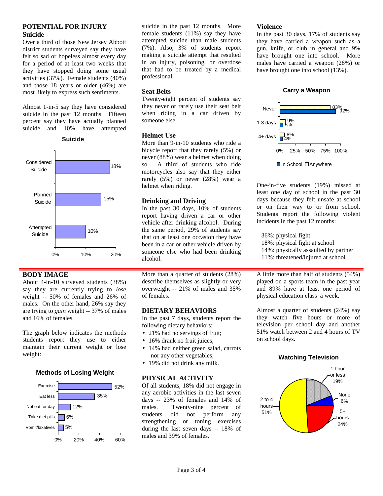# **POTENTIAL FOR INJURY Suicide**

Over a third of those New Jersey Abbott district students surveyed say they have felt so sad or hopeless almost every day for a period of at least two weeks that they have stopped doing some usual activities (37%). Female students (40%) and those 18 years or older (46%) are most likely to express such sentiments.

Almost 1-in-5 say they have considered suicide in the past 12 months. Fifteen percent say they have actually planned suicide and 10% have attempted

**Suicide**



## **BODY IMAGE**

About 4-in-10 surveyed students (38%) say they are currently trying to *lose* weight -- 50% of females and 26% of males. On the other hand, 26% say they are trying to *gain* weight -- 37% of males and 16% of females.

The graph below indicates the methods students report they use to either maintain their current weight or lose weight:

## **Methods of Losing Weight**



suicide in the past 12 months. More female students (11%) say they have attempted suicide than male students (7%). Also, 3% of students report making a suicide attempt that resulted in an injury, poisoning, or overdose that had to be treated by a medical professional.

## **Seat Belts**

Twenty-eight percent of students say they never or rarely use their seat belt when riding in a car driven by someone else.

#### **Helmet Use**

More than 9-in-10 students who ride a bicycle report that they rarely (5%) or never (88%) wear a helmet when doing so. A third of students who ride motorcycles also say that they either rarely (5%) or never (28%) wear a helmet when riding.

## **Drinking and Driving**

In the past 30 days, 10% of students report having driven a car or other vehicle after drinking alcohol. During the same period, 29% of students say that on at least one occasion they have been in a car or other vehicle driven by someone else who had been drinking alcohol.

More than a quarter of students (28%) describe themselves as slightly or very overweight -- 21% of males and 35% of females.

## **DIETARY BEHAVIORS**

In the past 7 days, students report the following dietary behaviors:

- 21% had no servings of fruit; • 16% drank no fruit juices;
- 14% had neither green salad, carrots nor any other vegetables;
- 19% did not drink any milk.

#### **PHYSICAL ACTIVITY**

Of all students, 18% did not engage in any aerobic activities in the last seven days -- 23% of females and 14% of males. Twenty-nine percent of students did not perform any strengthening or toning exercises during the last seven days -- 18% of males and 39% of females.

#### **Violence**

In the past 30 days, 17% of students say they have carried a weapon such as a gun, knife, or club in general and 9% have brought one into school. More males have carried a weapon (28%) or have brought one into school (13%).

## **Carry a Weapon**



One-in-five students (19%) missed at least one day of school in the past 30 days because they felt unsafe at school or on their way to or from school. Students report the following violent incidents in the past 12 months:

36%: physical fight

- 18%: physical fight at school
- 14%: physically assaulted by partner
- 11%: threatened/injured at school

A little more than half of students (54%) played on a sports team in the past year and 89% have at least one period of physical education class a week.

Almost a quarter of students (24%) say they watch five hours or more of television per school day and another 51% watch between 2 and 4 hours of TV on school days.

#### **Watching Television**